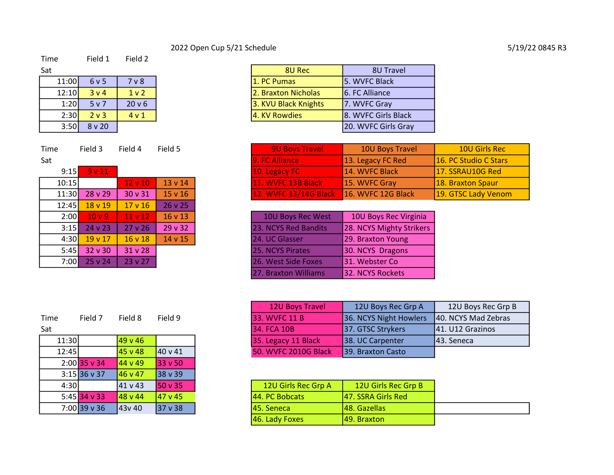# 2022 Open Cup 5/21 Schedule 5/19/22 0845 R3

# Time Field 1 Field 2

| Sat   |                  |                   |
|-------|------------------|-------------------|
| 11:00 | 6 v 5            | 7 v 8             |
| 12:10 | 3 <sub>v</sub> 4 | 1 <sub>v</sub>    |
| 1:20  | 5 v 7            | 20 <sub>v</sub> 6 |
| 2:30  | $2v$ 3           | 4 v 1             |
| 3:50  | $8$ v 20         |                   |

| Sat   |                    |                    |              |
|-------|--------------------|--------------------|--------------|
| 9:15  | 9v11               |                    |              |
| 10:15 |                    | $12 \vee 10$       | 13 v 14      |
| 11:30 | 28v29              | 30 v 31            | $15 \vee 16$ |
| 12:45 | 18 v 19            | 17 <sub>v</sub> 16 | 26 v 25      |
| 2:00  | 10 <sub>v</sub>    | 11 <sub>v</sub> 12 | $16 \vee 13$ |
| 3:15  | 24v23              | $27v$ 26           | 29v32        |
| 4:30  | 19 <sub>v</sub> 17 | 16 <sub>v</sub> 18 | 14 v 15      |
| 5:45  | 32 v 30            | 31 <sub>v</sub> 28 |              |
| 7:00  | 25 v 24            | $23 \vee 27$       |              |

| Sat   |                  |                  |
|-------|------------------|------------------|
| 11:00 | 6v5              | 7 v 8            |
| 12:10 | 3 v 4            | 1 <sub>v</sub> 2 |
| 1:20  | 5v7              | 20 v 6           |
| 2:30  | 2 <sub>v</sub> 3 | 4v1              |
| 3:50  | 8v20             |                  |

| Time  | Field 3            | Field 4      | Field 5        | <b>9U Boys Travel</b> | 10U Boys Travel                            | 10U Girls Rec            |
|-------|--------------------|--------------|----------------|-----------------------|--------------------------------------------|--------------------------|
| Sat   |                    |              |                | 9. FC Alliance        | 13. Legacy FC Red                          | 16. PC Studio C Stars    |
|       | $9:15$ $9 \vee 11$ |              |                | $10.$ Legacy FC       | 14. WVFC Black                             | 17. SSRAU10G Red         |
| 10:15 |                    | $12 \vee 10$ | $13 \times 14$ | 11. WVFC 13B Black    | 15. WVFC Gray                              | <b>18. Braxton Spaur</b> |
| 11:30 | $28 \times 29$     | 30 v 31      | $15 \times 16$ |                       | 12. WVFC 13/14G Black   16. WVFC 12G Black | 19. GTSC Lady Venom      |

| 2:00         | 10v9           | $11 \vee 12$   | $16 \vee 13$ | 10U Boys Rec West    | 10U Boys Rec Virginia    |
|--------------|----------------|----------------|--------------|----------------------|--------------------------|
|              | $3:15$ 24 v 23 | $27 \times 26$ | 29v32        | 23. NCYS Red Bandits | 28. NCYS Mighty Strikers |
| 4:30l        | $19 \vee 17$   | 16v18          | 14 v 15      | 24. UC Glasser       | 29. Braxton Young        |
| 5:45 $\vert$ | 32 v 30        | 31 v 28        |              | 25. NCYS Pirates     | 30. NCYS Dragons         |
| 7:00         | 25 v 24        | 23 v 27        |              | 26. West Side Foxes  | 31. Webster Co           |
|              |                |                |              | 27. Braxton Williams | 32. NCYS Rockets         |

| Time  | Field 7        | Field 8 | Field 9 |
|-------|----------------|---------|---------|
| Sat   |                |         |         |
| 11:30 |                | 49 v 46 |         |
| 12:45 |                | 45 v 48 | 40 v 41 |
|       | $2:00$ 35 v 34 | 44 v 49 | 33 v 50 |
|       | $3:15$ 36 v 37 | 46 v 47 | 38 v 39 |
| 4:30  |                | 41 v 43 | 50 v 35 |
|       | $5:45$ 34 v 33 | 48 v 44 | 47 v 45 |
|       | $7:00$ 39 v 36 | 43v 40  | 37 v 38 |

|       |         |         |               | 12U Boys Travel             | 12U Boys Rec Grp A       | 12U Boys Rec Grp B   |
|-------|---------|---------|---------------|-----------------------------|--------------------------|----------------------|
| Time  | Field 7 | Field 8 | Field 9       | <b>33. WVFC 11 B</b>        | 36. NCYS Night Howlers   | 140. NCYS Mad Zebras |
| Sat   |         |         |               | 34. FCA 10B                 | 37. GTSC Strykers        | [41. U12 Grazinos]   |
| 11:30 |         | 49 v 46 |               | 35. Legacy 11 Black         | 38. UC Carpenter         | 143. Seneca          |
| 12:45 |         | 45 v 48 | $140 \vee 41$ | <b>50. WVFC 2010G Black</b> | <b>39. Braxton Casto</b> |                      |

| 4:30 |              | 141 v 43         | 150 v 35      | 12U Girls Rec Grp A   | 12U Girls Rec Grp B |
|------|--------------|------------------|---------------|-----------------------|---------------------|
|      | 5:45 34 v 33 | <b>1</b> 48 v 44 | $147 \vee 45$ | <b>44. PC Bobcats</b> | 147. SSRA Girls Red |
|      | 7:00 39 v 36 | l43v 40          | $137 \vee 38$ | 145. Seneca           | 148. Gazellas       |
|      |              |                  |               | $ 46.$ Lady Foxes     | 149. Braxton        |